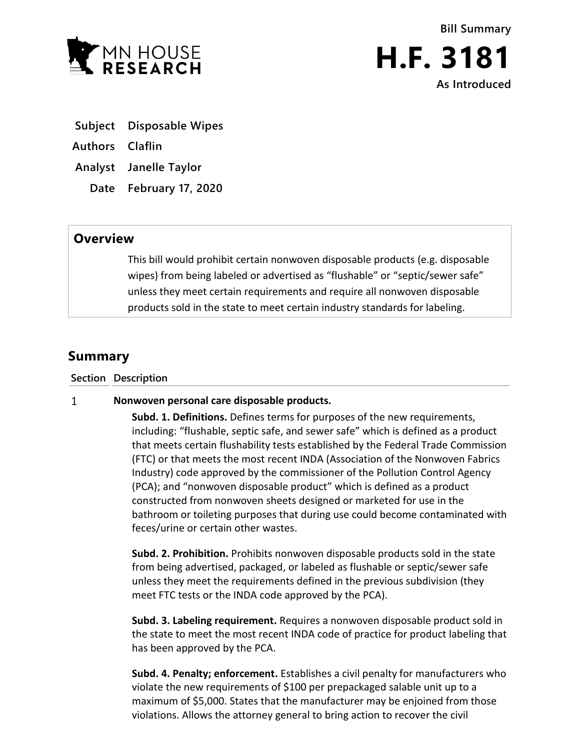



- **Subject Disposable Wipes**
- **Authors Claflin**
- **Analyst Janelle Taylor**
	- **Date February 17, 2020**

## **Overview**

This bill would prohibit certain nonwoven disposable products (e.g. disposable wipes) from being labeled or advertised as "flushable" or "septic/sewer safe" unless they meet certain requirements and require all nonwoven disposable products sold in the state to meet certain industry standards for labeling.

## **Summary**

**Section Description**

## $\mathbf{1}$ **Nonwoven personal care disposable products.**

**Subd. 1. Definitions.** Defines terms for purposes of the new requirements, including: "flushable, septic safe, and sewer safe" which is defined as a product that meets certain flushability tests established by the Federal Trade Commission (FTC) or that meets the most recent INDA (Association of the Nonwoven Fabrics Industry) code approved by the commissioner of the Pollution Control Agency (PCA); and "nonwoven disposable product" which is defined as a product constructed from nonwoven sheets designed or marketed for use in the bathroom or toileting purposes that during use could become contaminated with feces/urine or certain other wastes.

**Subd. 2. Prohibition.** Prohibits nonwoven disposable products sold in the state from being advertised, packaged, or labeled as flushable or septic/sewer safe unless they meet the requirements defined in the previous subdivision (they meet FTC tests or the INDA code approved by the PCA).

**Subd. 3. Labeling requirement.** Requires a nonwoven disposable product sold in the state to meet the most recent INDA code of practice for product labeling that has been approved by the PCA.

**Subd. 4. Penalty; enforcement.** Establishes a civil penalty for manufacturers who violate the new requirements of \$100 per prepackaged salable unit up to a maximum of \$5,000. States that the manufacturer may be enjoined from those violations. Allows the attorney general to bring action to recover the civil